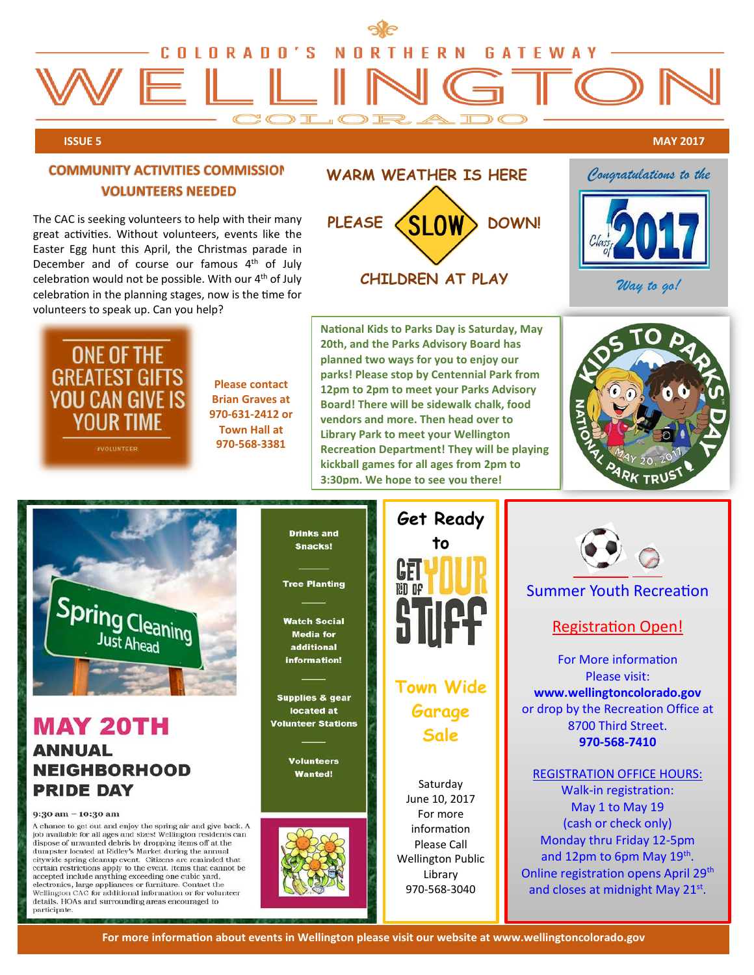

**PLEASE**

#### **ISSUE 5 MAY 2017**

### – **COMMUNITY ACTIVITIES COMMISSION VOLUNTEERS NEEDED**

The CAC is seeking volunteers to help with their many great activities. Without volunteers, events like the Easter Egg hunt this April, the Christmas parade in December and of course our famous 4<sup>th</sup> of July celebration would not be possible. With our  $4<sup>th</sup>$  of July celebration in the planning stages, now is the time for volunteers to speak up. Can you help?



**Please contact Brian Graves at 970-631-2412 or Town Hall at 970-568-3381**

> **Drinks and Snacks!**

**Tree Planting** 

**Watch Social Media for** 

additional information!

**Supplies & gear** located at

**Volunteer Stations** 

**Volunteers** 

**Wanted!** 

**National Kids to Parks Day is Saturday, May 20th, and the Parks Advisory Board has planned two ways for you to enjoy our parks! Please stop by Centennial Park from 12pm to 2pm to meet your Parks Advisory Board! There will be sidewalk chalk, food vendors and more. Then head over to Library Park to meet your Wellington Recreation Department! They will be playing kickball games for all ages from 2pm to 3:30pm. We hope to see you there!**

**CHILDREN AT PLAY**

**SLOW** 

**WARM WEATHER IS HERE**

**DOWN!**



*Congratulations to the*

*Way to go!*



## **MAY 20TH ANNUAL NEIGHBORHOOD PRIDE DAY**

#### 9:30 am - 10:30 am

A chance to get out and enjoy the spring air and give back. A job available for all ages and sizes! Wellington residents can dispose of unwanted debris by dropping items off at the dumpster located at Ridley's Market during the annual citywide spring cleanup event. Citizens are reminded that<br>certain restrictions apply to the event. Items that cannot be accepted include anything exceeding one cubic yard,<br>electronics, large appliances or furniture. Contact the Wellington CAC for additional information or for volunteer details. HOAs and surrounding areas encouraged to participate



# **Town Wide Garage Sale**

**Saturday** June 10, 2017 For more information Please Call Wellington Public Library 970-568-3040



## Summer Youth Recreation

## Registration Open!

For More information Please visit: **www.wellingtoncolorado.gov** or drop by the Recreation Office at 8700 Third Street. **970-568-7410**

REGISTRATION OFFICE HOURS: Walk-in registration: May 1 to May 19 (cash or check only) Monday thru Friday 12-5pm and 12pm to 6pm May  $19<sup>th</sup>$ . Online registration opens April 29<sup>th</sup> and closes at midnight May 21<sup>st</sup>.